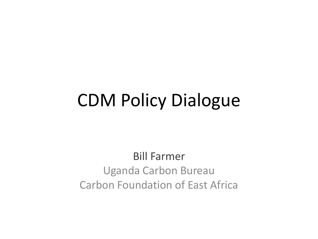#### CDM Policy Dialogue

Bill Farmer Uganda Carbon Bureau Carbon Foundation of East Africa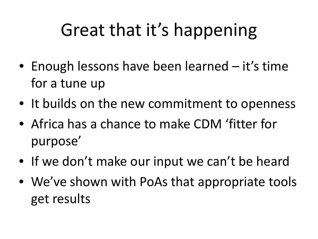## Great that it's happening

- Enough lessons have been learned it's time for a tune up
- It builds on the new commitment to openness
- Africa has a chance to make CDM 'fitter for purpose'
- If we don't make our input we can't be heard
- We've shown with PoAs that appropriate tools get results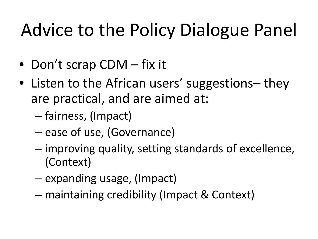## Advice to the Policy Dialogue Panel

- Don't scrap CDM fix it
- Listen to the African users' suggestions-they are practical, and are aimed at:
	- fairness, (Impact)
	- ease of use, (Governance)
	- improving quality, setting standards of excellence, (Context)
	- expanding usage, (Impact)
	- maintaining credibility (Impact & Context)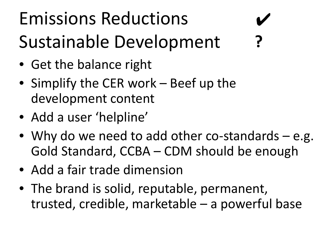# Emissions Reductions Sustainable Development

- Get the balance right
- Simplify the CER work Beef up the development content
- Add a user 'helpline'
- Why do we need to add other co-standards e.g. Gold Standard, CCBA – CDM should be enough

✔

**?**

- Add a fair trade dimension
- The brand is solid, reputable, permanent, trusted, credible, marketable – a powerful base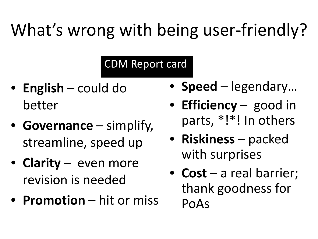## What's wrong with being user-friendly?

#### CDM Report card

- **English** could do better
- **Governance** simplify, streamline, speed up
- **Clarity** even more revision is needed
- **Promotion** hit or miss
- **Speed**  legendary…
- **Efficiency** good in parts, \*!\*! In others
- **Riskiness** packed with surprises
- **Cost** a real barrier; thank goodness for PoAs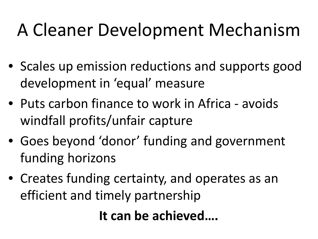### A Cleaner Development Mechanism

- Scales up emission reductions and supports good development in 'equal' measure
- Puts carbon finance to work in Africa avoids windfall profits/unfair capture
- Goes beyond 'donor' funding and government funding horizons
- Creates funding certainty, and operates as an efficient and timely partnership

**It can be achieved….**